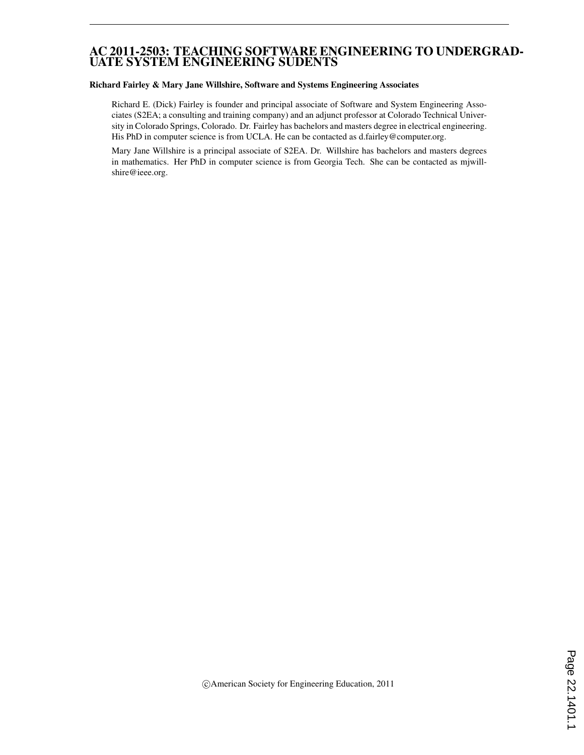#### AC 2011-2503: TEACHING SOFTWARE ENGINEERING TO UNDERGRAD-UATE SYSTEM ENGINEERING SUDENTS

#### Richard Fairley & Mary Jane Willshire, Software and Systems Engineering Associates

Richard E. (Dick) Fairley is founder and principal associate of Software and System Engineering Associates (S2EA; a consulting and training company) and an adjunct professor at Colorado Technical University in Colorado Springs, Colorado. Dr. Fairley has bachelors and masters degree in electrical engineering. His PhD in computer science is from UCLA. He can be contacted as d.fairley@computer.org.

Mary Jane Willshire is a principal associate of S2EA. Dr. Willshire has bachelors and masters degrees in mathematics. Her PhD in computer science is from Georgia Tech. She can be contacted as mjwillshire@ieee.org.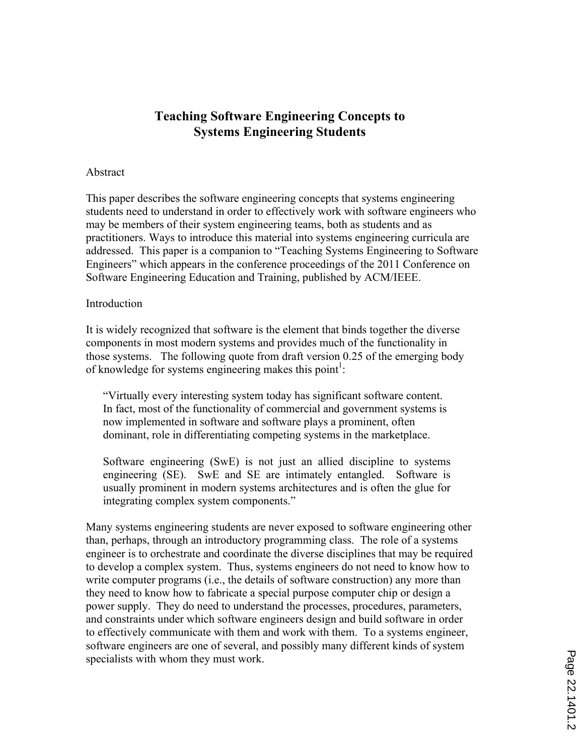# **Teaching Software Engineering Concepts to Systems Engineering Students**

#### Abstract

This paper describes the software engineering concepts that systems engineering students need to understand in order to effectively work with software engineers who may be members of their system engineering teams, both as students and as practitioners. Ways to introduce this material into systems engineering curricula are addressed. This paper is a companion to "Teaching Systems Engineering to Software Engineers" which appears in the conference proceedings of the 2011 Conference on Software Engineering Education and Training, published by ACM/IEEE.

#### Introduction

It is widely recognized that software is the element that binds together the diverse components in most modern systems and provides much of the functionality in those systems. The following quote from draft version 0.25 of the emerging body of knowledge for systems engineering makes this point<sup>1</sup>:

"Virtually every interesting system today has significant software content. In fact, most of the functionality of commercial and government systems is now implemented in software and software plays a prominent, often dominant, role in differentiating competing systems in the marketplace.

Software engineering (SwE) is not just an allied discipline to systems engineering (SE). SwE and SE are intimately entangled. Software is usually prominent in modern systems architectures and is often the glue for integrating complex system components."

Many systems engineering students are never exposed to software engineering other than, perhaps, through an introductory programming class. The role of a systems engineer is to orchestrate and coordinate the diverse disciplines that may be required to develop a complex system. Thus, systems engineers do not need to know how to write computer programs (i.e., the details of software construction) any more than they need to know how to fabricate a special purpose computer chip or design a power supply. They do need to understand the processes, procedures, parameters, and constraints under which software engineers design and build software in order to effectively communicate with them and work with them. To a systems engineer, software engineers are one of several, and possibly many different kinds of system specialists with whom they must work.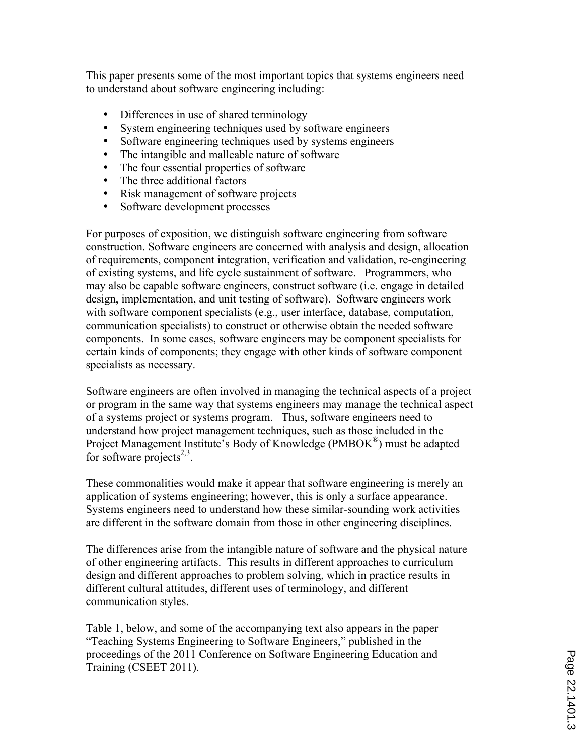This paper presents some of the most important topics that systems engineers need to understand about software engineering including:

- Differences in use of shared terminology
- System engineering techniques used by software engineers
- Software engineering techniques used by systems engineers
- The intangible and malleable nature of software
- The four essential properties of software
- The three additional factors
- Risk management of software projects
- Software development processes

For purposes of exposition, we distinguish software engineering from software construction. Software engineers are concerned with analysis and design, allocation of requirements, component integration, verification and validation, re-engineering of existing systems, and life cycle sustainment of software. Programmers, who may also be capable software engineers, construct software (i.e. engage in detailed design, implementation, and unit testing of software). Software engineers work with software component specialists (e.g., user interface, database, computation, communication specialists) to construct or otherwise obtain the needed software components. In some cases, software engineers may be component specialists for certain kinds of components; they engage with other kinds of software component specialists as necessary.

Software engineers are often involved in managing the technical aspects of a project or program in the same way that systems engineers may manage the technical aspect of a systems project or systems program. Thus, software engineers need to understand how project management techniques, such as those included in the Project Management Institute's Body of Knowledge (PMBOK<sup>®</sup>) must be adapted for software projects<sup>2,3</sup>.

These commonalities would make it appear that software engineering is merely an application of systems engineering; however, this is only a surface appearance. Systems engineers need to understand how these similar-sounding work activities are different in the software domain from those in other engineering disciplines.

The differences arise from the intangible nature of software and the physical nature of other engineering artifacts. This results in different approaches to curriculum design and different approaches to problem solving, which in practice results in different cultural attitudes, different uses of terminology, and different communication styles.

Table 1, below, and some of the accompanying text also appears in the paper "Teaching Systems Engineering to Software Engineers," published in the proceedings of the 2011 Conference on Software Engineering Education and Training (CSEET 2011).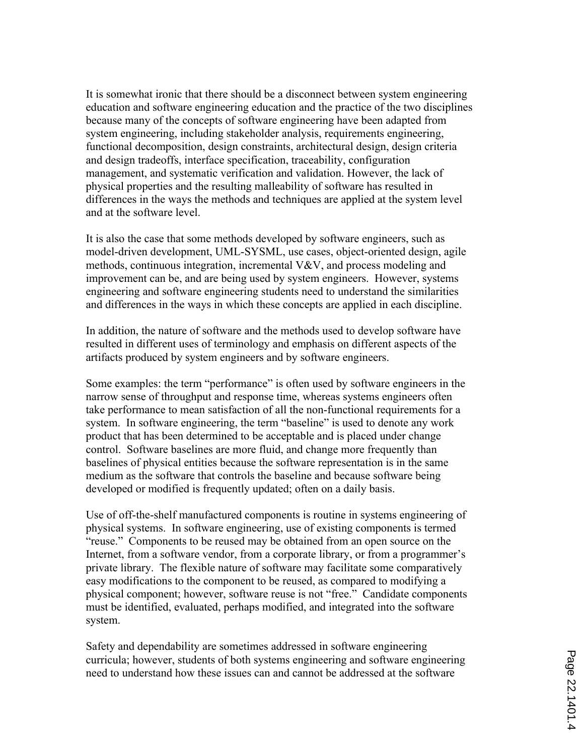It is somewhat ironic that there should be a disconnect between system engineering education and software engineering education and the practice of the two disciplines because many of the concepts of software engineering have been adapted from system engineering, including stakeholder analysis, requirements engineering, functional decomposition, design constraints, architectural design, design criteria and design tradeoffs, interface specification, traceability, configuration management, and systematic verification and validation. However, the lack of physical properties and the resulting malleability of software has resulted in differences in the ways the methods and techniques are applied at the system level and at the software level.

It is also the case that some methods developed by software engineers, such as model-driven development, UML-SYSML, use cases, object-oriented design, agile methods, continuous integration, incremental V&V, and process modeling and improvement can be, and are being used by system engineers. However, systems engineering and software engineering students need to understand the similarities and differences in the ways in which these concepts are applied in each discipline.

In addition, the nature of software and the methods used to develop software have resulted in different uses of terminology and emphasis on different aspects of the artifacts produced by system engineers and by software engineers.

Some examples: the term "performance" is often used by software engineers in the narrow sense of throughput and response time, whereas systems engineers often take performance to mean satisfaction of all the non-functional requirements for a system. In software engineering, the term "baseline" is used to denote any work product that has been determined to be acceptable and is placed under change control. Software baselines are more fluid, and change more frequently than baselines of physical entities because the software representation is in the same medium as the software that controls the baseline and because software being developed or modified is frequently updated; often on a daily basis.

Use of off-the-shelf manufactured components is routine in systems engineering of physical systems. In software engineering, use of existing components is termed "reuse." Components to be reused may be obtained from an open source on the Internet, from a software vendor, from a corporate library, or from a programmer's private library. The flexible nature of software may facilitate some comparatively easy modifications to the component to be reused, as compared to modifying a physical component; however, software reuse is not "free." Candidate components must be identified, evaluated, perhaps modified, and integrated into the software system.

Safety and dependability are sometimes addressed in software engineering curricula; however, students of both systems engineering and software engineering need to understand how these issues can and cannot be addressed at the software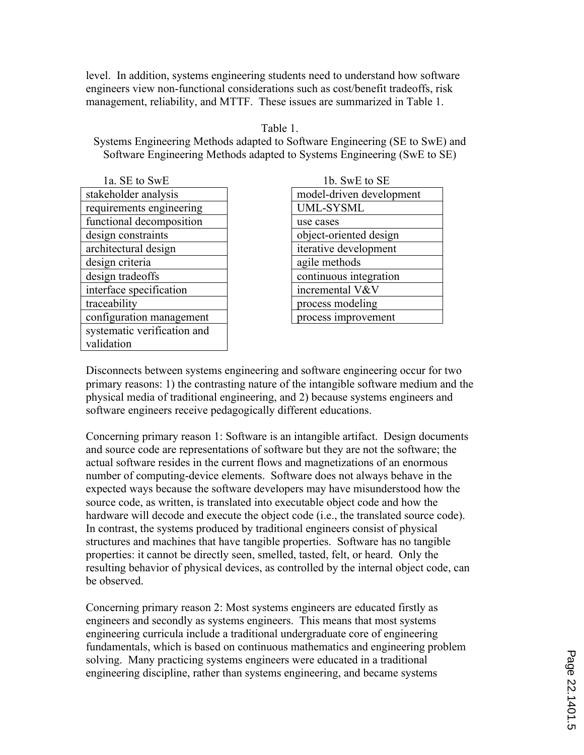level. In addition, systems engineering students need to understand how software engineers view non-functional considerations such as cost/benefit tradeoffs, risk management, reliability, and MTTF. These issues are summarized in Table 1.

Table 1.

Systems Engineering Methods adapted to Software Engineering (SE to SwE) and Software Engineering Methods adapted to Systems Engineering (SwE to SE)

| 1a. SE to SwE               |
|-----------------------------|
| stakeholder analysis        |
| requirements engineering    |
| functional decomposition    |
| design constraints          |
| architectural design        |
| design criteria             |
| design tradeoffs            |
| interface specification     |
| traceability                |
| configuration management    |
| systematic verification and |
| validation                  |

| 1b. SwE to SE            |
|--------------------------|
| model-driven development |
| <b>UML-SYSML</b>         |
| use cases                |
| object-oriented design   |
| iterative development    |
| agile methods            |
| continuous integration   |
| incremental V&V          |
| process modeling         |
| process improvement      |

Disconnects between systems engineering and software engineering occur for two primary reasons: 1) the contrasting nature of the intangible software medium and the physical media of traditional engineering, and 2) because systems engineers and software engineers receive pedagogically different educations.

Concerning primary reason 1: Software is an intangible artifact. Design documents and source code are representations of software but they are not the software; the actual software resides in the current flows and magnetizations of an enormous number of computing-device elements. Software does not always behave in the expected ways because the software developers may have misunderstood how the source code, as written, is translated into executable object code and how the hardware will decode and execute the object code (i.e., the translated source code). In contrast, the systems produced by traditional engineers consist of physical structures and machines that have tangible properties. Software has no tangible properties: it cannot be directly seen, smelled, tasted, felt, or heard. Only the resulting behavior of physical devices, as controlled by the internal object code, can be observed.

Concerning primary reason 2: Most systems engineers are educated firstly as engineers and secondly as systems engineers. This means that most systems engineering curricula include a traditional undergraduate core of engineering fundamentals, which is based on continuous mathematics and engineering problem solving. Many practicing systems engineers were educated in a traditional engineering discipline, rather than systems engineering, and became systems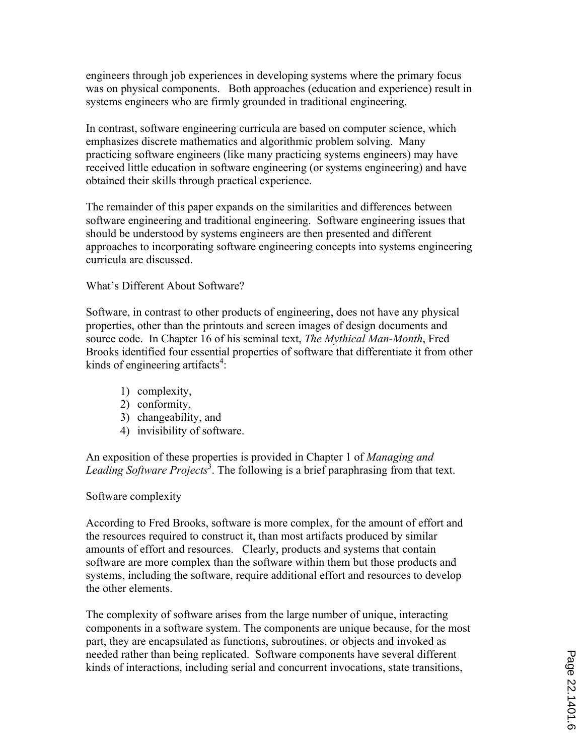engineers through job experiences in developing systems where the primary focus was on physical components. Both approaches (education and experience) result in systems engineers who are firmly grounded in traditional engineering.

In contrast, software engineering curricula are based on computer science, which emphasizes discrete mathematics and algorithmic problem solving. Many practicing software engineers (like many practicing systems engineers) may have received little education in software engineering (or systems engineering) and have obtained their skills through practical experience.

The remainder of this paper expands on the similarities and differences between software engineering and traditional engineering. Software engineering issues that should be understood by systems engineers are then presented and different approaches to incorporating software engineering concepts into systems engineering curricula are discussed.

What's Different About Software?

Software, in contrast to other products of engineering, does not have any physical properties, other than the printouts and screen images of design documents and source code. In Chapter 16 of his seminal text, *The Mythical Man-Month*, Fred Brooks identified four essential properties of software that differentiate it from other kinds of engineering artifacts<sup>4</sup>:

- 1) complexity,
- 2) conformity,
- 3) changeability, and
- 4) invisibility of software.

An exposition of these properties is provided in Chapter 1 of *Managing and*  Leading Software Projects<sup>3</sup>. The following is a brief paraphrasing from that text.

# Software complexity

According to Fred Brooks, software is more complex, for the amount of effort and the resources required to construct it, than most artifacts produced by similar amounts of effort and resources. Clearly, products and systems that contain software are more complex than the software within them but those products and systems, including the software, require additional effort and resources to develop the other elements.

The complexity of software arises from the large number of unique, interacting components in a software system. The components are unique because, for the most part, they are encapsulated as functions, subroutines, or objects and invoked as needed rather than being replicated. Software components have several different kinds of interactions, including serial and concurrent invocations, state transitions,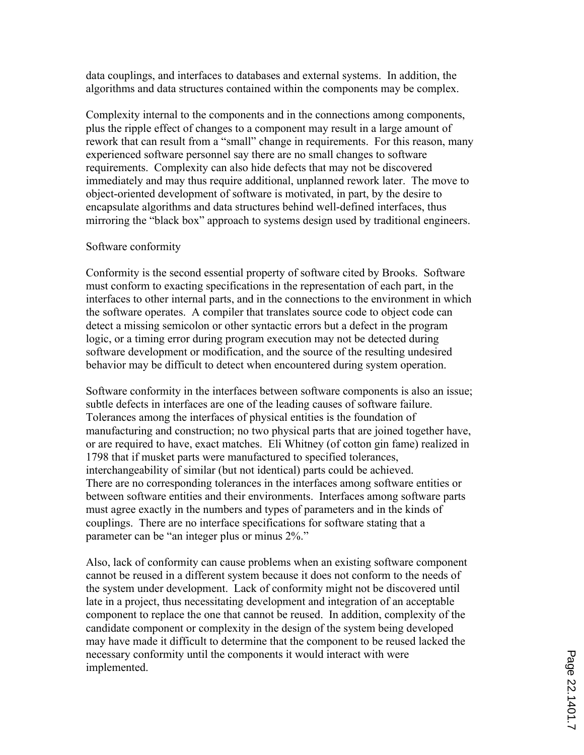data couplings, and interfaces to databases and external systems. In addition, the algorithms and data structures contained within the components may be complex.

Complexity internal to the components and in the connections among components, plus the ripple effect of changes to a component may result in a large amount of rework that can result from a "small" change in requirements. For this reason, many experienced software personnel say there are no small changes to software requirements. Complexity can also hide defects that may not be discovered immediately and may thus require additional, unplanned rework later. The move to object-oriented development of software is motivated, in part, by the desire to encapsulate algorithms and data structures behind well-defined interfaces, thus mirroring the "black box" approach to systems design used by traditional engineers.

#### Software conformity

Conformity is the second essential property of software cited by Brooks. Software must conform to exacting specifications in the representation of each part, in the interfaces to other internal parts, and in the connections to the environment in which the software operates. A compiler that translates source code to object code can detect a missing semicolon or other syntactic errors but a defect in the program logic, or a timing error during program execution may not be detected during software development or modification, and the source of the resulting undesired behavior may be difficult to detect when encountered during system operation.

Software conformity in the interfaces between software components is also an issue; subtle defects in interfaces are one of the leading causes of software failure. Tolerances among the interfaces of physical entities is the foundation of manufacturing and construction; no two physical parts that are joined together have, or are required to have, exact matches. Eli Whitney (of cotton gin fame) realized in 1798 that if musket parts were manufactured to specified tolerances, interchangeability of similar (but not identical) parts could be achieved. There are no corresponding tolerances in the interfaces among software entities or between software entities and their environments. Interfaces among software parts must agree exactly in the numbers and types of parameters and in the kinds of couplings. There are no interface specifications for software stating that a parameter can be "an integer plus or minus 2%."

Also, lack of conformity can cause problems when an existing software component cannot be reused in a different system because it does not conform to the needs of the system under development. Lack of conformity might not be discovered until late in a project, thus necessitating development and integration of an acceptable component to replace the one that cannot be reused. In addition, complexity of the candidate component or complexity in the design of the system being developed may have made it difficult to determine that the component to be reused lacked the necessary conformity until the components it would interact with were implemented.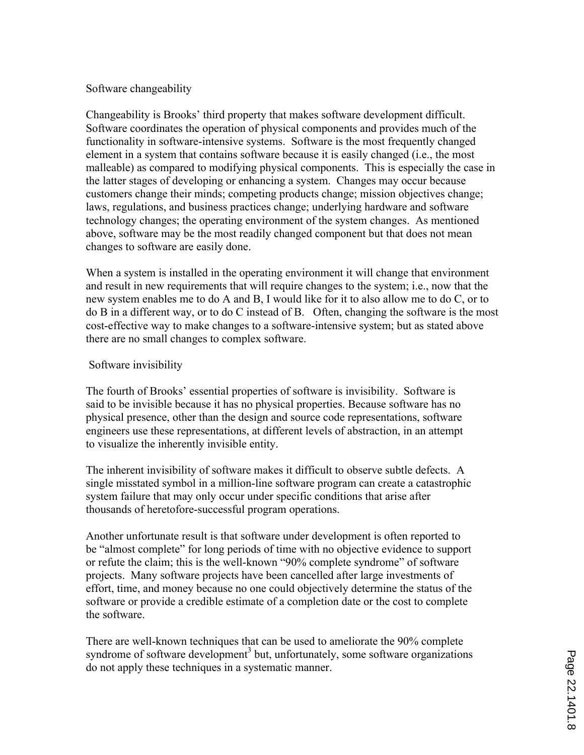## Software changeability

Changeability is Brooks' third property that makes software development difficult. Software coordinates the operation of physical components and provides much of the functionality in software-intensive systems. Software is the most frequently changed element in a system that contains software because it is easily changed (i.e., the most malleable) as compared to modifying physical components. This is especially the case in the latter stages of developing or enhancing a system. Changes may occur because customers change their minds; competing products change; mission objectives change; laws, regulations, and business practices change; underlying hardware and software technology changes; the operating environment of the system changes. As mentioned above, software may be the most readily changed component but that does not mean changes to software are easily done.

When a system is installed in the operating environment it will change that environment and result in new requirements that will require changes to the system; i.e., now that the new system enables me to do A and B, I would like for it to also allow me to do C, or to do B in a different way, or to do C instead of B. Often, changing the software is the most cost-effective way to make changes to a software-intensive system; but as stated above there are no small changes to complex software.

## Software invisibility

The fourth of Brooks' essential properties of software is invisibility. Software is said to be invisible because it has no physical properties. Because software has no physical presence, other than the design and source code representations, software engineers use these representations, at different levels of abstraction, in an attempt to visualize the inherently invisible entity.

The inherent invisibility of software makes it difficult to observe subtle defects. A single misstated symbol in a million-line software program can create a catastrophic system failure that may only occur under specific conditions that arise after thousands of heretofore-successful program operations.

Another unfortunate result is that software under development is often reported to be "almost complete" for long periods of time with no objective evidence to support or refute the claim; this is the well-known "90% complete syndrome" of software projects. Many software projects have been cancelled after large investments of effort, time, and money because no one could objectively determine the status of the software or provide a credible estimate of a completion date or the cost to complete the software.

There are well-known techniques that can be used to ameliorate the 90% complete syndrome of software development<sup>3</sup> but, unfortunately, some software organizations do not apply these techniques in a systematic manner.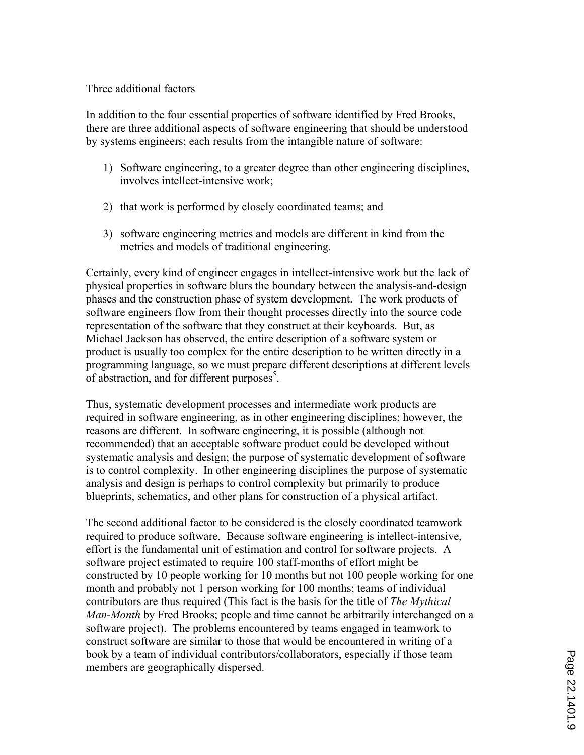#### Three additional factors

In addition to the four essential properties of software identified by Fred Brooks, there are three additional aspects of software engineering that should be understood by systems engineers; each results from the intangible nature of software:

- 1) Software engineering, to a greater degree than other engineering disciplines, involves intellect-intensive work;
- 2) that work is performed by closely coordinated teams; and
- 3) software engineering metrics and models are different in kind from the metrics and models of traditional engineering.

Certainly, every kind of engineer engages in intellect-intensive work but the lack of physical properties in software blurs the boundary between the analysis-and-design phases and the construction phase of system development. The work products of software engineers flow from their thought processes directly into the source code representation of the software that they construct at their keyboards. But, as Michael Jackson has observed, the entire description of a software system or product is usually too complex for the entire description to be written directly in a programming language, so we must prepare different descriptions at different levels of abstraction, and for different purposes $<sup>5</sup>$ .</sup>

Thus, systematic development processes and intermediate work products are required in software engineering, as in other engineering disciplines; however, the reasons are different. In software engineering, it is possible (although not recommended) that an acceptable software product could be developed without systematic analysis and design; the purpose of systematic development of software is to control complexity. In other engineering disciplines the purpose of systematic analysis and design is perhaps to control complexity but primarily to produce blueprints, schematics, and other plans for construction of a physical artifact.

The second additional factor to be considered is the closely coordinated teamwork required to produce software. Because software engineering is intellect-intensive, effort is the fundamental unit of estimation and control for software projects. A software project estimated to require 100 staff-months of effort might be constructed by 10 people working for 10 months but not 100 people working for one month and probably not 1 person working for 100 months; teams of individual contributors are thus required (This fact is the basis for the title of *The Mythical Man-Month* by Fred Brooks; people and time cannot be arbitrarily interchanged on a software project). The problems encountered by teams engaged in teamwork to construct software are similar to those that would be encountered in writing of a book by a team of individual contributors/collaborators, especially if those team members are geographically dispersed.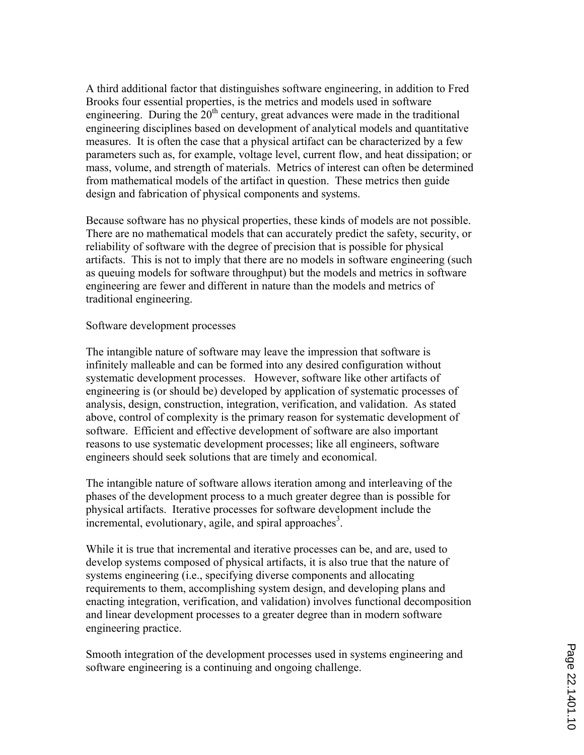A third additional factor that distinguishes software engineering, in addition to Fred Brooks four essential properties, is the metrics and models used in software engineering. During the  $20<sup>th</sup>$  century, great advances were made in the traditional engineering disciplines based on development of analytical models and quantitative measures. It is often the case that a physical artifact can be characterized by a few parameters such as, for example, voltage level, current flow, and heat dissipation; or mass, volume, and strength of materials. Metrics of interest can often be determined from mathematical models of the artifact in question. These metrics then guide design and fabrication of physical components and systems.

Because software has no physical properties, these kinds of models are not possible. There are no mathematical models that can accurately predict the safety, security, or reliability of software with the degree of precision that is possible for physical artifacts. This is not to imply that there are no models in software engineering (such as queuing models for software throughput) but the models and metrics in software engineering are fewer and different in nature than the models and metrics of traditional engineering.

Software development processes

The intangible nature of software may leave the impression that software is infinitely malleable and can be formed into any desired configuration without systematic development processes. However, software like other artifacts of engineering is (or should be) developed by application of systematic processes of analysis, design, construction, integration, verification, and validation. As stated above, control of complexity is the primary reason for systematic development of software. Efficient and effective development of software are also important reasons to use systematic development processes; like all engineers, software engineers should seek solutions that are timely and economical.

The intangible nature of software allows iteration among and interleaving of the phases of the development process to a much greater degree than is possible for physical artifacts. Iterative processes for software development include the  $\frac{1}{2}$  incremental, evolutionary, agile, and spiral approaches<sup>3</sup>.

While it is true that incremental and iterative processes can be, and are, used to develop systems composed of physical artifacts, it is also true that the nature of systems engineering (i.e., specifying diverse components and allocating requirements to them, accomplishing system design, and developing plans and enacting integration, verification, and validation) involves functional decomposition and linear development processes to a greater degree than in modern software engineering practice.

Smooth integration of the development processes used in systems engineering and software engineering is a continuing and ongoing challenge.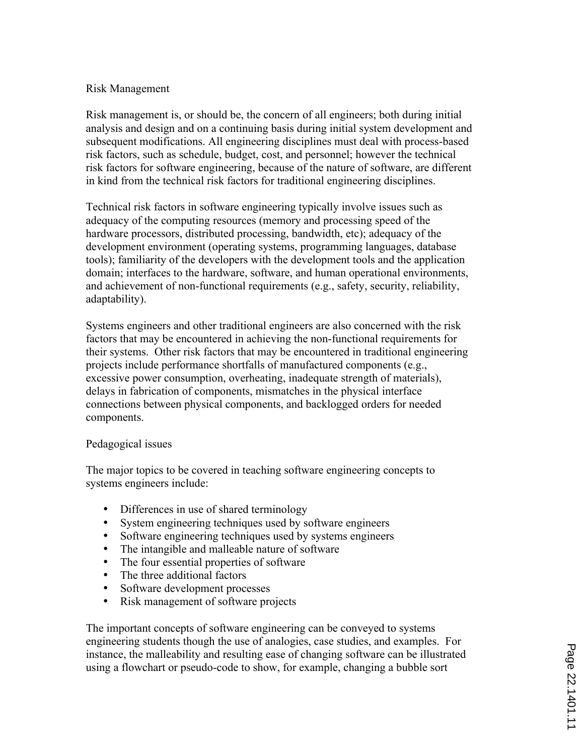## Risk Management

Risk management is, or should be, the concern of all engineers; both during initial analysis and design and on a continuing basis during initial system development and subsequent modifications. All engineering disciplines must deal with process-based risk factors, such as schedule, budget, cost, and personnel; however the technical risk factors for software engineering, because of the nature of software, are different in kind from the technical risk factors for traditional engineering disciplines.

Technical risk factors in software engineering typically involve issues such as adequacy of the computing resources (memory and processing speed of the hardware processors, distributed processing, bandwidth, etc); adequacy of the development environment (operating systems, programming languages, database tools); familiarity of the developers with the development tools and the application domain; interfaces to the hardware, software, and human operational environments, and achievement of non-functional requirements (e.g., safety, security, reliability, adaptability).

Systems engineers and other traditional engineers are also concerned with the risk factors that may be encountered in achieving the non-functional requirements for their systems. Other risk factors that may be encountered in traditional engineering projects include performance shortfalls of manufactured components (e.g., excessive power consumption, overheating, inadequate strength of materials), delays in fabrication of components, mismatches in the physical interface connections between physical components, and backlogged orders for needed components.

#### Pedagogical issues

The major topics to be covered in teaching software engineering concepts to systems engineers include:

- Differences in use of shared terminology
- System engineering techniques used by software engineers
- Software engineering techniques used by systems engineers
- The intangible and malleable nature of software
- The four essential properties of software
- The three additional factors
- Software development processes
- Risk management of software projects

The important concepts of software engineering can be conveyed to systems engineering students though the use of analogies, case studies, and examples. For instance, the malleability and resulting ease of changing software can be illustrated using a flowchart or pseudo-code to show, for example, changing a bubble sort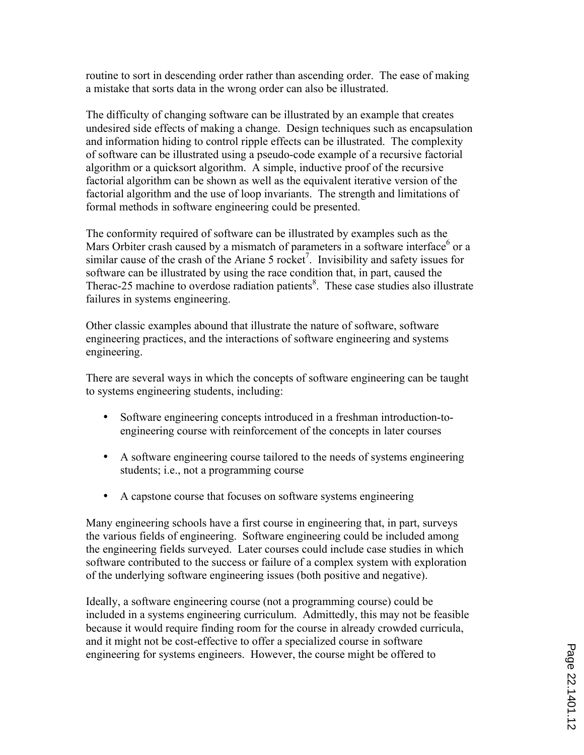routine to sort in descending order rather than ascending order. The ease of making a mistake that sorts data in the wrong order can also be illustrated.

The difficulty of changing software can be illustrated by an example that creates undesired side effects of making a change. Design techniques such as encapsulation and information hiding to control ripple effects can be illustrated. The complexity of software can be illustrated using a pseudo-code example of a recursive factorial algorithm or a quicksort algorithm. A simple, inductive proof of the recursive factorial algorithm can be shown as well as the equivalent iterative version of the factorial algorithm and the use of loop invariants. The strength and limitations of formal methods in software engineering could be presented.

The conformity required of software can be illustrated by examples such as the Mars Orbiter crash caused by a mismatch of parameters in a software interface  $6$  or a similar cause of the crash of the Ariane 5 rocket<sup>7</sup>. Invisibility and safety issues for software can be illustrated by using the race condition that, in part, caused the Therac-25 machine to overdose radiation patients<sup>8</sup>. These case studies also illustrate failures in systems engineering.

Other classic examples abound that illustrate the nature of software, software engineering practices, and the interactions of software engineering and systems engineering.

There are several ways in which the concepts of software engineering can be taught to systems engineering students, including:

- Software engineering concepts introduced in a freshman introduction-toengineering course with reinforcement of the concepts in later courses
- A software engineering course tailored to the needs of systems engineering students; i.e., not a programming course
- A capstone course that focuses on software systems engineering

Many engineering schools have a first course in engineering that, in part, surveys the various fields of engineering. Software engineering could be included among the engineering fields surveyed. Later courses could include case studies in which software contributed to the success or failure of a complex system with exploration of the underlying software engineering issues (both positive and negative).

Ideally, a software engineering course (not a programming course) could be included in a systems engineering curriculum. Admittedly, this may not be feasible because it would require finding room for the course in already crowded curricula, and it might not be cost-effective to offer a specialized course in software engineering for systems engineers. However, the course might be offered to